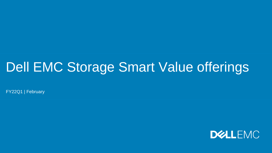## Dell EMC Storage Smart Value offerings

FY22Q1 | February

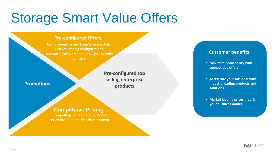# Storage Smart Value Offers

#### **Pre-configured Offers**

Comprehensive and long-term portfolio Market leading configurations Hardware, Software and Services upgrades available

#### **Promotions**

**Pre-configured top selling enterprise products**

#### **Competitive Pricing**

Compelling value to end customer Price based on market development

#### **Customer benefits:**

- **Maximize profitability with competitive offers**
- **Accelerate your business with industry leading products and solutions**
- **Market leading prices that fit your business model**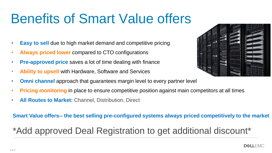# Benefits of Smart Value offers

- **Easy to sell** due to high market demand and competitive pricing
- **Always priced lower** compared to CTO configurations
- **Pre-approved price** saves a lot of time dealing with finance
- **Ability to upsell** with Hardware, Software and Services
- **Omni channel** approach that guarantees margin level to every partner level
- **Pricing monitoring** in place to ensure competitive position against main competitors at all times
- **All Routes to Market:** Channel, Distribution, Direct

#### **Smart Value offers-- the best selling pre-configured systems always priced competitively to the market**

## \*Add approved Deal Registration to get additional discount\*



**DEALLEMC**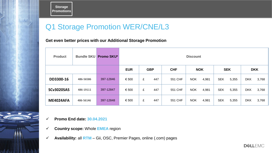**Storage Promotions**

## Q1 Storage Promotion WER/CNE/L3

**Get even better prices with our Additional Storage Promotion**

| <b>Product</b>    | <b>Bundle SKU</b> | <b>Promo SKU*</b> | <b>Discount</b> |            |            |                     |                     |                     |  |
|-------------------|-------------------|-------------------|-----------------|------------|------------|---------------------|---------------------|---------------------|--|
|                   |                   |                   | <b>EUR</b>      | <b>GBP</b> | <b>CHF</b> | <b>NOK</b>          | <b>SEK</b>          | <b>DKK</b>          |  |
| DD3300-16         | 486-56586         | 397-12846         | € 500           | £<br>447   | 551 CHF    | <b>NOK</b><br>4,981 | <b>SEK</b><br>5,355 | <b>DKK</b><br>3,768 |  |
| <b>SCv3020SAS</b> | 486-19111         | 397-12847         | € 500           | 447<br>£   | 551 CHF    | <b>NOK</b><br>4,981 | <b>SEK</b><br>5,355 | <b>DKK</b><br>3,768 |  |
| <b>ME4024AFA</b>  | 486-56146         | 397-12848         | € 500           | £<br>447   | 551 CHF    | <b>NOK</b><br>4,981 | <b>SEK</b><br>5,355 | <b>DKK</b><br>3,768 |  |

✓ **Promo End date: 30.04.2021**

23 I

- ✓ **Country scope:** Whole **EMEA** region
- ✓ **Availability:** all **RTM** Gii, OSC, Premier Pages, online (.com) pages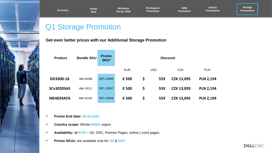

✓ **Promo End date: 30.04.2021**

**DD3300-16** 486-56586 397-12846 **€ 500 \$ 559 CZK 13,095 PLN 2,194** 

**Windows Server 2019**

**SCv3020SAS** 486-19111 397-12847 **€ 500 \$ 559 CZK 13,095 PLN 2,194** 

**ME4024AFA** 486-56146 397-12848 **€ 500 \$ 559 CZK 13,095 PLN 2,194** 

**Summary Promotions**

**ProSupport Promotion**

**Discount** 

**AMD Promotion**

**Switch Promotions**

EUR USD CZK PLN

- ✓ **Country scope:** Whole **EMEA** region
- ✓ **Availability:** all **RTM** Gii, OSC, Premier Pages, online (.com) pages

**Get even better prices with our Additional Storage Promotion**

✓ **Promo SKUs:** are available only for **Gii** & **OSC**

Q1 Storage Promotion

**Smart Deal**

**Product Bundle SKU Promo** 

**Storage**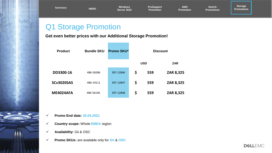**Summary HERO**

**Windows Server 2019** **ProSupport Promotion**

**AMD Promotion**

**Switch Promotions**

**Storage Promotions**

## Q1 Storage Promotion

#### **Get even better prices with our Additional Storage Promotion!**

| <b>Product</b>    | <b>Bundle SKU</b> | Promo SKU* | <b>Discount</b> |            |            |
|-------------------|-------------------|------------|-----------------|------------|------------|
|                   |                   |            |                 | <b>USD</b> | <b>ZAR</b> |
| DD3300-16         | 486-56586         | 397-12846  | \$              | 559        | ZAR 8,325  |
| <b>SCv3020SAS</b> | 486-19111         | 397-12847  | \$              | 559        | ZAR 8,325  |
| <b>ME4024AFA</b>  | 486-56146         | 397-12848  | \$              | 559        | ZAR 8,325  |

- ✓ **Promo End date: 30.04.2021**
- ✓ **Country scope:** Whole **EMEA** region
- ✓ **Availability:** Gii & OSC

8 3 3 3 3

✓ **Promo SKUs:** are available only for **Gii** & **OSC**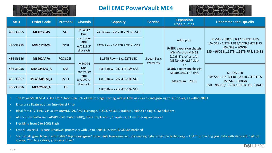

#### **Dell EMC PowerVault ME4**



| <b>SKU</b> | <b>Order Code</b>  | <b>Protocol</b>     | <b>Chassis</b>                               | <b>Capacity</b>                             | <b>Service</b> | <b>Expansion</b><br><b>Possibilities</b>                         | <b>Recommended UpSells</b>                                                                                                                        |  |
|------------|--------------------|---------------------|----------------------------------------------|---------------------------------------------|----------------|------------------------------------------------------------------|---------------------------------------------------------------------------------------------------------------------------------------------------|--|
| 486-33955  | <b>ME4012SAS</b>   | <b>SAS</b>          | ME4012<br>Dual                               | 24TB Raw - 2x12TB 7.2K NL-SAS               |                | Add up to:<br>9x2RU expansion chassis<br>Mix'n'match ME412       | NL-SAS - 8TB, 10TB, 12TB, 12TB FIPS<br>10K SAS - 1.2TB, 1.8TB, 2.4TB, 2.4TB FIPS<br>$15K$ SAS $-$ 900GB<br>SSD-960GB, 1.92TB, 1.92TB FIPS, 3.84TB |  |
| 486-33953  | <b>ME4012ISCSI</b> | <b>iSCSI</b>        | controller<br>2RU<br>w/12x3.5"<br>disk slots | 24TB Raw - 2x12TB 7.2K NL-SAS               |                |                                                                  |                                                                                                                                                   |  |
| 486-56146  | <b>ME4024AFA</b>   | <b>FC&amp;iSCSI</b> | ME4024                                       | 3 year Basic<br>11.5TB Raw $-$ 6x1.92TB SSD |                | $(12x3.5"$ slot) and/or<br>ME424 (24x2.5" slot)                  |                                                                                                                                                   |  |
| 486-33958  | ME4024SAS A        | <b>SAS</b>          | Dual<br>controller                           | 4.8TB Raw - 2x2.4TB 10K SAS                 | Warranty       | <sub>or</sub><br>3x5RU expansion chassis<br>ME484 (84x3.5" slot) | <b>NL-SAS 2TB</b>                                                                                                                                 |  |
| 486-33957  | ME4024ISCSI A      | <b>iSCSI</b>        | 2RU<br>w/24x2.5"                             | 4.8TB Raw - 2x2.4TB 10K SAS                 |                | $Maximum - 20RU$                                                 | 10K SAS - 1.2TB, 1.8TB, 2.4TB, 2.4TB FIPS<br>$15K$ SAS $-$ 900GB<br>SSD-960GB, 1.92TB, 1.92TB FIPS, 3.84TB                                        |  |
| 486-33956  | <b>ME4024FC A</b>  | FC                  | disk slots                                   | 4.8TB Raw - 2x2.4TB 10K SAS                 |                |                                                                  |                                                                                                                                                   |  |

• The PowerVault ME4 is Dell EMC's Next Gen Entry-Level storage starting with as little as 2 drives and growing to 336 drives, all within 20RU

- Enterprise Features at an Entry-Level Price
- Ideal for CCTV, HPC, Virtualization/VDI, SAN/DAS Exchange, ROBO, NoSQL Databases, Video Editing, OEM Solutions
- All-Inclusive Software ADAPT (distributed RAID), IP&FC Replication, Snapshots, 3 Level Tiering and more!
- Flexibility from 0 to 100% Flash
- Fast & Powerful 4 core Broadwell processors with up to 320K IOPS with 12Gb SAS Backend
- Start small, grow large in affordable "*Pay as you grow*" increments leveraging industry-leading data protection technology ADAPT protecting your data with elimination of hot spares; "You buy a drive, you use a drive."

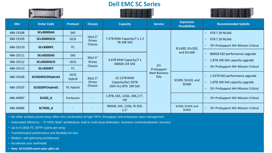#### **Dell EMC SC Series**





| <b>SKU</b> | <b>Order Code</b>  | <b>Protocol</b>               | <b>Chassis</b>                  | <b>Capacity</b>                                                | <b>Service</b>                                   | <b>Expansion</b><br><b>Possibilities</b> | <b>Recommended UpSells</b>                                            |
|------------|--------------------|-------------------------------|---------------------------------|----------------------------------------------------------------|--------------------------------------------------|------------------------------------------|-----------------------------------------------------------------------|
| 486-19108  | SCv3000SAS         | <b>SAS</b>                    |                                 | 7.2TB RAW Capacity/7 x 1.2<br>TB 10K SAS                       |                                                  | SCv300, SCv320,                          | 4TB 7.2K NLSAS                                                        |
| 486-19109  | SCv3000iSCSI       | <b>iSCSI</b>                  | 16x3.5"<br><b>Drives</b>        |                                                                |                                                  |                                          | 6TB 7.2K NLSAS                                                        |
| 486-19110  | <b>SCv3000FC</b>   | FC                            | <b>Chassis</b>                  |                                                                |                                                  |                                          | 3Yr ProSupport 4Hr Mission Critical                                   |
| 486-19111  | SCv3020SAS         | <b>SAS</b>                    | 30x2.5"                         |                                                                |                                                  | and SCv360                               | 800GB SSD performance upgrade                                         |
| 486-19112  | SCv3020iSCSI       | <b>iSCSI</b>                  | <b>Drives</b>                   | 3.6TB RAW Capacity/7 x<br>600GB 15K SAS                        | 3Yr<br>ProSupport<br><b>Next Business</b><br>Day |                                          | 1.8TB 10K SAS capacity upgrade                                        |
| 486-19113  | <b>SCv3020FC</b>   | FC                            | <b>Chassis</b>                  |                                                                |                                                  |                                          | 3Yr ProSupport 4Hr Mission Critical                                   |
| 486-19106  | SC5020ISCSIHybrid1 | <b>ISCSI</b><br><b>Hybrid</b> | 30x2.5"                         | <b>22.12TB RAW</b><br>Capacity/6x1.92TB<br>SSD+7x1.8TB 10K SAS |                                                  | SC400, SC420, and                        | 1.92TB SSD performance upgrade                                        |
| 486-19107  | SC5020FCHybrid1    | <b>FC Hybrid</b>              | <b>Drives</b><br><b>Chassis</b> |                                                                |                                                  | SC460                                    | 1.8TB 10K SAS capacity upgrade<br>3Yr ProSupport 4Hr Mission Critical |
| 486-40087  | <b>SC420 A</b>     | Enclosure                     |                                 | 1.8TB, SAS, 12Gb, 10K, 2.5",<br>HD.                            |                                                  |                                          | 3Yr ProSupport 4Hr Mission Critical                                   |
| 486-40086  | <b>SC7020 A</b>    |                               |                                 | 960GB, SAS, 12Gb, RI SSD,<br>2.5''                             |                                                  | SC400, SC420, and<br>SC460               | 3Yr ProSupport 4Hr Mission Critical                                   |

• No other similarly priced array offers this combination of high IOPS, throughput and enterprise-class management

• Automated efficiency – "0-100% flash" architecture, built-in multi-array federation, business continuity/disaster recovery

- Up to 8 16Gb FC (SFP+) ports per array
- Transformative performance and flexibility for less
- Modern, self optimizing architecture
- Accelerate your workloads
- 8 of Y *Note: All SC5020 smart value offers do require to follow the same standard process with OSC and as any other SC configuration through OSC, XPOD validation, and Gii.*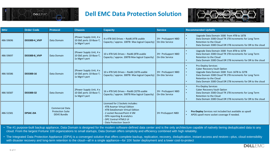

#### **Dell EMC Data Protection Solution**



| <b>SKU</b> | <b>Order Code</b>    | <b>Protocol</b>                                                         | <b>Chassis</b>                                                      | <b>Capacity</b>                                                                                                                                                                                                         | <b>Service</b>                               | <b>Recommended UpSells</b>                                                                                                                                                                                                                                         |
|------------|----------------------|-------------------------------------------------------------------------|---------------------------------------------------------------------|-------------------------------------------------------------------------------------------------------------------------------------------------------------------------------------------------------------------------|----------------------------------------------|--------------------------------------------------------------------------------------------------------------------------------------------------------------------------------------------------------------------------------------------------------------------|
| 486-59696  | <b>DD3300-4 VIVP</b> | Data Domain                                                             | 2Power Supply Unit, 4 x<br>10 GbE ports 10-Base-T,<br>1x Mgm't port | 4 x 4TB SAS Drives - Raid6 (4TB usable<br>Capacity / approx. 100TB Max logical Capacity)                                                                                                                                | 3Yr ProSupport NBD<br><b>On-Site Service</b> | Upgrade Data Domain 3300 from 4TB to 16TB<br>Data Domain 3300 Cloud TR 1TB increments for Long Term<br>Retention to the Cloud<br>Data Domain 3300 Cloud DR 1TB increments for DR to the cloud                                                                      |
| 486-59697  | <b>DD3300-8 VIVP</b> | Data Domain                                                             | 2Power Supply Unit, 4 x<br>10 GbE ports 10-Base-T,<br>1x Mgm't port | 10 x 4TB SAS Drives - Raid6 (8TB usable<br>Capacity / approx. 200TB Max logical Capacity)                                                                                                                               | 3Yr ProSupport NBD<br><b>On-Site Service</b> | Upgrade Data Domain 3300 from 8TB to 32TB<br>Data Domain 3300 Cloud TR 1TB increments for Long Term<br>Retention to the Cloud<br>Data Domain 3300 Cloud DR 1TB increments for DR to the cloud                                                                      |
| 486-56586  | DD3300-16            | Data Domain                                                             | 2Power Supply Unit, 4 x<br>10 GbE ports 10-Base-T,<br>1x Mgm't port | 10 x 4TB SAS Drives - Raid6 (16TB usable<br>Capacity / approx. 300TB Max logical Capacity)                                                                                                                              | 3Yr ProSupport NBD<br><b>On-Site Service</b> | <b>Pro-Deploy Services</b><br><b>Cyber Recovery Vault Option</b><br>Upgrade Data Domain 3300 from 16TB to 32TB<br>Data Domain 3300 Cloud TR 1TB increments for Long Term<br>Retention to the Cloud<br>Data Domain 3300 Cloud DR 1TB increments for DR to the cloud |
| 486-56587  | DD3300-32            | Data Domain                                                             | 2Power Supply Unit, 4 x<br>10 GbE ports 10-Base-T,<br>1x Mgm't port | 16 x 4TB SAS Drives - Raid6 (32TB usable<br>Capacity / approx. 500TB Max logical Capacity)                                                                                                                              | 3Yr ProSupport NBD<br><b>On-Site Service</b> | <b>Pro-Deploy Services</b><br>Cyber Recovery Vault Option<br>Data Domain 3300 Cloud TR 1TB increments for Long Term<br>Retention to the Cloud<br>Data Domain 3300 Cloud DR 1TB increments for DR to the cloud                                                      |
| 486-51581  | DPS4C-2IA            | <b>Commercial Data</b><br><b>Protection Suite</b><br><b>DDVE Bundle</b> |                                                                     | Licensed for 2 Sockets includes:<br>- 4TB Avamar Virtual Edition<br>- 4TB DataDomain Virtual Edition<br>- 2 socket RecoverPoint 4 VM<br>- DPA reporting & analytics<br>- DPC Central HTML5 UI<br>Data Protection Search | 3Yr ProSupport NBD                           | Pro-Deploy Services not included but available as upsell<br>APOS upsell more socket coverage if needed.                                                                                                                                                            |

• The #1 purpose-built backup appliance, Data Domain is designed for the modern software-defined data center and is the only architecture capable of natively tiering deduplicated data to any cloud. From the largest Fortune 100 organizations to small startups, Data Domain offers simplicity and efficiency combined with high reliability.

• The Integrated Data Protection Appliance (IDPA) is a converged solution that offers complete backup, replication, recovery, deduplication, instant access and restore—plus, cloud extensibility with disaster recovery and long-term retention to the cloud—all in a single appliance—for 10X faster deployment and a lower cost-to-protect

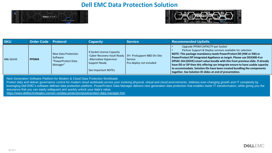#### **Dell EMC Data Protection Solution**





| <b>SKU</b> | <b>Order Code Protocol</b> |                                                                   | Capacitv                                                                                                                                                 | Service                            | <b>Recommended UpSells</b>                                                                                                                                                                                                                                                                                                                                                                                                                                                                                                                          |
|------------|----------------------------|-------------------------------------------------------------------|----------------------------------------------------------------------------------------------------------------------------------------------------------|------------------------------------|-----------------------------------------------------------------------------------------------------------------------------------------------------------------------------------------------------------------------------------------------------------------------------------------------------------------------------------------------------------------------------------------------------------------------------------------------------------------------------------------------------------------------------------------------------|
| 486-56143  | PPDM4                      | New Data Protection<br>Software<br>"PowerProtect Data<br>Manager" | 4 Socket License Capacity<br>-Cyber Recovery Vault Ready   3Yr ProSupport NBD On-Site<br>-Alternative Hypervisor<br>Support Ready<br>See Important NOTEs | Service<br>Pro-deploy not included | Upgrade PPDM CAPACITY per Socket<br>Partner Support & Deploy services available for selection<br>NOTE: This package mandatory needs PowerProtect DD (HW or SW) or<br>PowerProtect DP Integrated Appliance as target. Please use DD3300-4 or<br>DPS4C-2IA (DDVE) smart value bundle with this from previous slide. If already<br>have DD or DP then this offering can integrate ensure to have usable capacity<br>to accommodate. Solution IDs have been created bundling the components<br>together. See Solution ID slides at end of presentation. |

Next Generation Software Platform for Modern & Cloud Data Protection Workloads

Protect data and deliver governance control for modern cloud workloads across your evolving physical, virtual and cloud environments. Address ever-changing growth and IT complexity by leveraging Dell EMC's software defined data protection platform. PowerProtect Data Manager delivers next generation data protection that enables faster IT transformation, while giving you the assurance that you can easily safeguard and quickly unlock your data's value.

<https://www.delltechnologies.com/en-us/data-protection/powerprotect-data-manager.htm>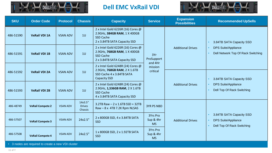

## **Dell EMC VxRail VDI**



| <b>SKU</b> | <b>Order Code</b>                                                                        | <b>Protocol</b> | <b>Chassis</b>                      | <b>Capacity</b>                                                                                                       | <b>Service</b>                                           | <b>Expansion</b><br><b>Possibilities</b> | <b>Recommended UpSells</b>                                                                        |  |
|------------|------------------------------------------------------------------------------------------|-----------------|-------------------------------------|-----------------------------------------------------------------------------------------------------------------------|----------------------------------------------------------|------------------------------------------|---------------------------------------------------------------------------------------------------|--|
| 486-51590  | <b>VxRail VDI 1A</b>                                                                     | <b>VSAN ADV</b> | 10                                  | 2 x Intel Gold 6226R (16) Cores @<br>2.9GHz, 384GB RAM, 1 X 400GB<br>SSD Cache<br>2 x 3.84TB SATA Capacity SSD        |                                                          |                                          | 3.84TB SATA Capacity SSD<br>$\bullet$                                                             |  |
| 486-51591  | <b>VxRail VDI 1B</b>                                                                     | <b>VSAN ADV</b> | 10                                  | 2 x Intel Gold 6226R (16) Cores @<br>2.9GHz, 768GB RAM, 1 X 400GB<br><b>SSD Cache</b><br>2 x 3.84TB SATA Capacity SSD | <b>Additional Drives</b><br>3Yr<br>ProSupport<br>and 4Hr |                                          | <b>DPS Suite/Appliance</b><br>Dell Network Top Of Rack Switching                                  |  |
| 486-51592  | <b>VxRail VDI 2A</b>                                                                     | <b>VSAN ADV</b> | 10                                  | 2 x Intel Gold 6248R (24) Cores @<br>2.9GHz, 768GB RAM, 2 X 1.6TB<br>SSD Cache 4 x 3.84TB SATA<br>Capacity SSD        | mission<br>critical                                      |                                          | 3.84TB SATA Capacity SSD<br>$\bullet$                                                             |  |
| 486-51593  | <b>VxRail VDI 2B</b>                                                                     | <b>VSAN ADV</b> | 10                                  | 2 x Intel Gold 6248R (24) Cores @<br>2.9GHz, 1,536GB RAM, 2 X 1.6TB<br>SSD Cache<br>4 x 3.84TB SATA Capacity SSD      |                                                          | <b>Additional Drives</b>                 | <b>DPS Suite/Appliance</b><br>Dell Top Of Rack Switching<br>$\bullet$                             |  |
| 486-48749  | <b>VxRail Compete 2</b>                                                                  | <b>VSAN ADV</b> | 14x3.5"<br><b>Drives</b><br>Chassis | 3.2TB Raw $- 2 \times 1.6$ TB SSD + 32TB<br>$Raw - 8x$ 4TB 7.2K Rpm NLSAS                                             | <b>3YR PS NBD</b>                                        |                                          |                                                                                                   |  |
| 486-57507  | <b>VSAN ADV</b><br><b>VxRail Compete 3</b><br><b>VSAN ADV</b><br><b>VxRail Compete 4</b> |                 | 24x2.5"                             | 2 x 800GB SSD, 4 x 3.84TB SATA<br><b>SSD</b>                                                                          | 3Yrs Pro<br>Sup & 4hr<br><b>MS</b>                       | <b>Additional Drives</b>                 | 3.84TB SATA Capacity SSD<br>$\bullet$<br><b>DPS Suite/Appliance</b><br>Dell Top Of Rack Switching |  |
| 486-57508  |                                                                                          |                 | 24x2.5"                             | 1 x 800GB SSD, 2 x 1.92TB SATA<br><b>SSD</b>                                                                          | 3Yrs Pro<br>Sup & 4hr<br><b>MS</b>                       |                                          |                                                                                                   |  |
|            | • 3 nodes are required to create a new VDI cluster                                       |                 |                                     |                                                                                                                       |                                                          |                                          |                                                                                                   |  |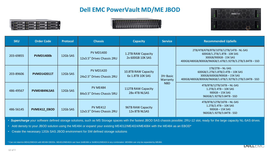## **Dell EMC PowerVault MD/ME JBOD**







| <b>SKU</b> | <b>Order Code</b>   | <b>Protocol</b> | <b>Chassis</b>                                 | <b>Capacity</b>                           | <b>Service</b>        | <b>Recommended UpSells</b>                                                                                                                               |
|------------|---------------------|-----------------|------------------------------------------------|-------------------------------------------|-----------------------|----------------------------------------------------------------------------------------------------------------------------------------------------------|
| 203-69855  | <b>PVMD1400b</b>    | 12Gb SAS        | <b>PV MD1400</b><br>12x3.5" Drives Chassis 2RU | 1.2TB RAW Capacity<br>2x 600GB 10K SAS    |                       | 2TB/4TB/6TB/8TB/10TB/12TB/14TB - NL-SAS<br>600GB/1.2TB/1.8TB - 10K SAS<br>300GB/900GB - 15K SAS<br>400GB/480GB/800GB/960GB/1.6TB/1.92TB/3.2TB/3.84TB-SSD |
| 203-89606  | <b>PVMD142011T</b>  | 12Gb SAS        | <b>PV MD1420</b><br>24x2.5" Drives Chassis 2RU | 10.8TB RAW Capacity<br>6x 1.8TB 10K SAS   | 3Yr Basic<br>Warranty | $1TB/2TB-NL-SAS$<br>600GB/1.2TB/1.8TB/2.4TB-10KSAS<br>300GB/600GB/900GB-15K SAS<br>400GB/480GB/800GB/960GB/1.6TB/1.92TB/3.2TB/3.84TB - SSD               |
| 486-49567  | <b>PVME484NLSAS</b> | 12Gb SAS        | <b>PV ME484</b><br>84x3.5" Drives Chassis 5RU  | 112TB RAW Capacity<br>28x 4TB NLSAS       | <b>NBD</b>            | 4TB/8TB/12TB/16TB-NL-SAS<br>$1.2TB/2.4TB - 10K SAS$<br>$900GB - 15K SAS$<br>960GB/1.92TB/3.84TB - SSD                                                    |
| 486-56145  | PVME412 EBOD        | 12Gb SAS        | <b>PV ME412</b><br>12x3.5" Drives Chassis 2RU  | <b>96TB RAW Capacity</b><br>12x 8TB NLSAS |                       | 4TB/8TB/12TB/16TB-NL-SAS<br>$1.2TB/2.4TB - 10K SAS$<br>$900GB - 15K SAS$<br>960GB/1.92TB/3.84TB - SSD                                                    |

• **Supercharge** your software defined storage solutions, such as MS Storage spaces with the fastest JBOD SAS chassis possible; 2RU-12 slot, ready for the large capacity NL-SAS drives.

• Add density to your JBOD solution using the ME484 or expand your existing ME4012/ME4024/ME4084 with the ME484 as an EBOD\*

• Create the necessary 12Gb SAS JBOD environment for SW defined storage solutions

\* Can not intermix ME412/ME424 with ME484 EBODs. ME4012/ME4024 can have 3xME484 or 9xME412/ME424 in any combination. ME4084 can only be expanded by ME484.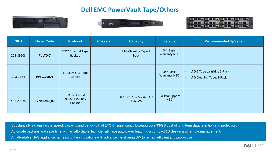## **Dell EMC PowerVault Tape/Others**







| <b>SKU</b> | <b>Order Code</b>  | <b>Chassis</b><br><b>Capacity</b><br><b>Protocol</b> |  | <b>Service</b>                   | <b>Recommended UpSells</b>       |                                                          |
|------------|--------------------|------------------------------------------------------|--|----------------------------------|----------------------------------|----------------------------------------------------------|
| 203-89608  | <b>PVLTO-7</b>     | <b>LTO7 External Tape</b><br>Backup                  |  | LTO Cleaning Tape 1<br>Pack      | 3Yr Basic<br><b>Warranty NBD</b> |                                                          |
| 203-7164   | <b>PVTL100001</b>  | 1U LTO6 SAS Tape<br>Library                          |  |                                  | 3Yr Basic<br><b>Warranty NBD</b> | LTO-6 Tape cartridge 5-Pack<br>LTO Cleaning Tape, 1-Pack |
| 486-29925  | <b>PVNX3240 01</b> | 12x3.5" HDD &<br>2x2.5" Flexi Bay<br>Chassis         |  | 4x2TB NLSAS & 2x600GB<br>10K SAS | 3Yr ProSupport<br><b>NBD</b>     |                                                          |

• Substantially increasing the speed, capacity and bandwidth of LTO-6, significantly lowering your \$\$/GB cost of long term data retention and protection.

• Automate backups and save time with an affordable, high-density tape autoloader featuring a compact 1U design and remote management.

• An affordable NAS appliance harnessing the innovations with advance file-sharing SW to remain efficient and productive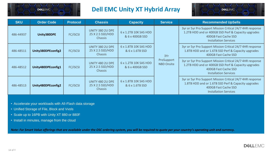

## **Dell EMC Unity XT Hybrid Array**



| <b>SKU</b> | <b>Order Code</b>                     | <b>Protocol</b>                                                           | <b>Chassis</b>                                         | <b>Capacity</b>                          | <b>Service</b>           | <b>Recommended UpSells</b>                                                                                                                                               |
|------------|---------------------------------------|---------------------------------------------------------------------------|--------------------------------------------------------|------------------------------------------|--------------------------|--------------------------------------------------------------------------------------------------------------------------------------------------------------------------|
| 486-44937  | Unity380DPE                           | <b>FC/ISCSI</b>                                                           | UNITY 380 2U DPE<br>25 X 2.5 SSD/HDD<br><b>Chassis</b> | 6 x 1.2TB 10K SAS HDD<br>& 6 x 400GB SSD |                          | 3yr or 5yr Pro Support Mission Critical 24/7 4HR response<br>1.2TB HDD and or 400GB SSD Perf & Capacity upgrades<br>400GB Fast Cache SSD<br><b>Installation Services</b> |
| 486-48511  | Unity380DPEconfig2                    | UNITY 380 2U DPE<br><b>FC/ISCSI</b><br>25 X 2.5 SSD/HDD<br><b>Chassis</b> |                                                        | 6 x 1.8TB 10K SAS HDD<br>& 6 x 1.6TB SSD | 3Yr                      | 3yr or 5yr Pro Support Mission Critical 24/7 4HR response<br>1.8TB HDD and or 1.6TB SSD Perf & Capacity upgrades<br>400GB Fast Cache SSD                                 |
| 486-48512  | <b>FC/ISCSI</b><br>Unity480DPEconfig1 |                                                                           | UNITY 480 2U DPE<br>25 X 2.5 SSD/HDD<br><b>Chassis</b> | 6 x 1.2TB 10K SAS HDD<br>& 6 x 400GB SSD | ProSupport<br>NBD Onsite | 3yr or 5yr Pro Support Mission Critical 24/7 4HR response<br>1.2TB HDD and or 400GB SSD Perf & Capacity upgrades<br>400GB Fast Cache SSD<br><b>Installation Services</b> |
| 486-48513  | Unity480DPEconfig2                    | <b>FC/ISCSI</b>                                                           | UNITY 480 2U DPE<br>25 X 2.5 SSD/HDD<br><b>Chassis</b> | 6 x 1.8TB 10K SAS HDD<br>& 6 x 1.6TB SSD |                          | 3yr or 5yr Pro Support Mission Critical 24/7 4HR response<br>1.8TB HDD and or 1.6TB SSD Perf & Capacity upgrades<br>400GB Fast Cache SSD<br><b>Installation Services</b> |

- Accelerate your workloads with All-Flash data storage
- Unified Storage of File, Block and Vvols
- Scale up to 16PB with Unity XT 880 or 880F
- Install in minutes, manage from the cloud

*Note: For Smart Value offerings that are available under the OSC ordering system, you will be required to quote per your country's operating unit and currency.*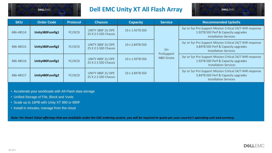

## **Dell EMC Unity XT All Flash Array**



| <b>SKU</b> | <b>Order Code</b> | <b>Protocol</b> | <b>Chassis</b>                            | <b>Capacity</b> | <b>Service</b>                  | <b>Recommended UpSells</b>                                                                                                       |
|------------|-------------------|-----------------|-------------------------------------------|-----------------|---------------------------------|----------------------------------------------------------------------------------------------------------------------------------|
| 486-48514  | Unity380Fconfig1  | <b>FC/ISCSI</b> | UNITY 380F 2U DPE<br>25 X 2.5 SSD Chassis | 10 x 1.92TB SSD |                                 | 3yr or 5yr Pro Support Mission Critical 24/7 4HR response<br>1.92TB SSD Perf & Capacity upgrades<br><b>Installation Services</b> |
| 486-48515  | Unity380Fconfig2  | <b>FC/ISCSI</b> | UNITY 380F 2U DPE<br>25 X 2.5 SSD Chassis | 10 x 3.84TB SSD | 3Yr                             | 3yr or 5yr Pro Support Mission Critical 24/7 4HR response<br>3.84TB SSD Perf & Capacity upgrades<br><b>Installation Services</b> |
| 486-48516  | Unity480Fconfig1  | <b>FC/ISCSI</b> | UNITY 480F 2U DPE<br>25 X 2.5 SSD Chassis | 10 x 1.92TB SSD | ProSupport<br><b>NBD Onsite</b> | 3yr or 5yr Pro Support Mission Critical 24/7 4HR response<br>1.92TB SSD Perf & Capacity upgrades<br><b>Installation Services</b> |
| 486-48517  | Unity480Fconfig2  | <b>FC/ISCSI</b> | UNITY 480F 2U DPE<br>25 X 2.5 SSD Chassis | 10 x 3.84TB SSD |                                 | 3yr or 5yr Pro Support Mission Critical 24/7 4HR response<br>3.84TB SSD Perf & Capacity upgrades<br><b>Installation Services</b> |

- Accelerate your workloads with All-Flash data storage
- Unified Storage of File, Block and Vvols
- Scale up to 16PB with Unity XT 880 or 880F
- Install in minutes, manage from the cloud

*Note: For Smart Value offerings that are available under the OSC ordering system, you will be required to quote per your country's operating unit and currency.*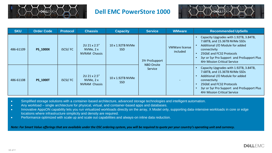

#### **Dell EMC PowerStore 1000**



| <b>SKU</b> | <b>Order Code</b> | <b>Protocol</b> | <b>Chassis</b>                                     | <b>Capacity</b>          | <b>Service</b>                      | <b>WMware</b>                     | <b>Recommended UpSells</b>                                                                                                                                                                                                                  |
|------------|-------------------|-----------------|----------------------------------------------------|--------------------------|-------------------------------------|-----------------------------------|---------------------------------------------------------------------------------------------------------------------------------------------------------------------------------------------------------------------------------------------|
| 486-61109  | <b>PS 1000X</b>   | <b>iSCSI/FC</b> | 2U 21 x 2.5"<br>NVMe, $2x$<br><b>NVRAM Chassis</b> | 10 x 1.92TB NVMe<br>SSD. | 3Yr ProSupport<br><b>NBD Onsite</b> | <b>VMWare license</b><br>included | Capacity Upgrades with 1.92TB, 3.84TB,<br>7.68TB, and 15.36TB NVMe SSDs<br>Additional I/O Module for added<br>connectivity<br>25GbE and FC32 Protocols<br>3yr or 5yr Pro Support and ProSupport Plus<br><b>4Hr Mission Critical Service</b> |
| 486-61108  | <b>PS 1000T</b>   | <b>iSCSI/FC</b> | 2U 21 x 2.5"<br>NVMe, 2x<br><b>NVRAM Chassis</b>   | 10 x 1.92TB NVMe<br>SSD. | Service                             |                                   | Capacity Upgrades with 1.92TB, 3.84TB,<br>7.68TB, and 15.36TB NVMe SSDs<br>Additional I/O Module for added<br>connectivity<br>25GbE and FC32 Protocols<br>3yr or 5yr Pro Support and ProSupport Plus<br><b>4Hr Mission Critical Service</b> |

- Simplified storage solutions with a container-based architecture, advanced storage technologies and intelligent automation.
- Any workload single architecture for physical, virtual, and container-based apps and databases.
- Innovative AppsON capability lets you run virtualized workloads directly on the array, X Model only, supporting data-intensive workloads in core or edge locations where infrastructure simplicity and density are required.
- Performance optimized with scale up and scale out capabilities and always-on inline data reduction.

*Note: For Smart Value offerings that are available under the OSC ordering system, you will be required to quote per your country's operating unit and currency.*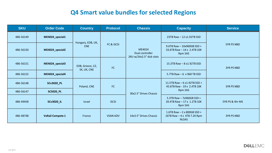## **Q4 Smart value bundles for selected Regions**

| <b>SKU</b> | <b>Order Code</b>       | <b>Country</b>                                                                  | <b>Protocol</b> | <b>Chassis</b>                                        | <b>Capacity</b>                                                                   | <b>Service</b>    |
|------------|-------------------------|---------------------------------------------------------------------------------|-----------------|-------------------------------------------------------|-----------------------------------------------------------------------------------|-------------------|
| 486-56149  | ME4024_special1         | Hungary, EDB, UK,<br><b>CNE</b><br>EDB, Greece, CZ,<br><b>FC</b><br>SK, UK, CNE |                 | ME4024<br>Dual controller<br>2RU w/24x2.5" disk slots | 23TB Raw - 12 x1.92TB SSD                                                         | <b>5YR PS NBD</b> |
| 486-56150  | ME4024 special2         |                                                                                 | FC & iSCSI      |                                                       | $9.6$ TB Raw $-10x960$ GB SSD +<br>33.6TB Raw - 14 x 2.4TB 10K<br><b>Rpm SAS</b>  |                   |
| 486-56151  | ME4024 special3         |                                                                                 |                 |                                                       | 15.3TB Raw - 8 x1.92TB SSD                                                        | <b>3YR PS NBD</b> |
| 486-56152  | ME4024 special4         |                                                                                 |                 |                                                       | 5.7TB Raw $-6 \times 960$ TB SSD                                                  |                   |
| 486-56148  | <b>SCv3020_PL</b>       | Poland, CNE                                                                     | <b>FC</b>       | 30x2.5" Drives Chassis                                | 11.5TB Raw $-6$ x1.92TB SSD +<br>45.6TB Raw - 19 x 2.4TB 10K<br><b>Rpm SAS</b>    | <b>3YR PS NBD</b> |
| 486-56147  | <b>SC5020_PL</b>        |                                                                                 |                 |                                                       |                                                                                   |                   |
| 486-49458  | <b>SCv3020 IL</b>       | <b>Israel</b>                                                                   | <b>iSCSI</b>    |                                                       | 5.3TB Raw - 7x960GB SSD +<br>20.4TB Raw - 17 x 1.2TB 10K<br>Rpm SAS               | 5YR PS & 4hr MS   |
| 486-48748  | <b>VxRail Compete 1</b> | France                                                                          | <b>VSAN ADV</b> | 14x3.5" Drives Chassis                                | 1.6TB Raw $-2 \times 800$ GB SSD +<br>16TB Raw $-4x$ 4TB 7.2K Rpm<br><b>NLSAS</b> | <b>3YR PS NBD</b> |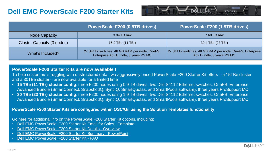## **Dell EMC PowerScale F200 Starter Kits**



|                            | PowerScale F200 (0.9TB drives)                                                        | PowerScale F200 (1.9TB drives)                                                        |
|----------------------------|---------------------------------------------------------------------------------------|---------------------------------------------------------------------------------------|
| <b>Node Capacity</b>       | 3.84 TB raw                                                                           | 7.68 TB raw                                                                           |
| Cluster Capacity (3 nodes) | 15.2 TBe (11 TBr)                                                                     | 30.4 TBe (23 TBr)                                                                     |
| What's Included?           | 2x S4112 switches, 48 GB RAM per node, OneFS,<br>Enterprise Adv Bundle, 3 years PS MC | 2x S4112 switches, 48 GB RAM per node, OneFS, Enterprise<br>Adv Bundle, 3 years PS MC |

#### **PowerScale F200 Starter Kits are now available !**

To help customers struggling with unstructured data, two aggressively priced PowerScale F200 Starter Kit offers – a 15TBe cluster and a 30TBe cluster – are now available for a limited time

- **15 TBe (11 TBr) cluster config**: three F200 nodes using 0.9 TB drives, two Dell S4112 Ethernet switches, OneFS, Enterprise Advanced Bundle (SmartConnect, SnapshotIQ, SyncIQ, SmartQuotas, and SmartPools software), three years ProSupport MC
- **30 TBe (23 TBr) cluster config**: three F200 nodes using 1.9 TB drives, two Dell S4112 Ethernet switches, OneFS, Enterprise Advanced Bundle (SmartConnect, SnapshotIQ, SyncIQ, SmartQuotas, and SmartPools software), three years ProSupport MC

#### **PowerScale F200 Starter Kits are configured within OSC/Gii using the Solution Templates functionality**

Go [here](https://inside.dell.com/powerscale) for additional info on the PowerScale F200 Starter Kit options, including:

- [Dell EMC PowerScale: F200 Starter Kit Email for Sales -](https://inside.dell.com/docs/DOC-458717) Template
- [Dell EMC PowerScale: F200 Starter Kit Details -](https://inside.dell.com/docs/DOC-458716) Overview
- [Dell EMC PowerScale: F200 Starter Kit Summary -](https://inside.dell.com/docs/DOC-458715) PowerPoint
- [Dell EMC PowerScale: F200 Starter Kit -](https://inside.dell.com/docs/DOC-458640) FAQ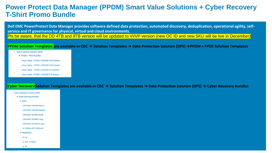## **Power Protect Data Manager (PPDM) Smart Value Solutions + Cyber Recovery T-Shirt Promo Bundle**

**Dell EMC PowerProtect Data Manager provides software defined data protection, automated discovery, deduplication, operational agility, selfservice and IT governance for physical, virtual and cloud environments.**

Pls be aware, that the DD 4TB and 8TB version will be updated to VI/VP version (new OC ID and new SKU will be live in December)

#### **PPDM Solution Templates are available in OSC → Solution Templates → Data Protection Solution (DPS) →PPDM + PPDE Solution Templates**

- $\vee$  Data Protection Solution (DPS)
	- PPDM + PPDD Bundles
		- Smart Value PPDM + DD3300 16TB Version
		- Smart Value PPDM + DD3300 32TB Version
		- Smart Value PPDM + DD3300 4TB Version
		- Smart Value PPDM + DD3300 8TB Version

#### **Cyber Recovery Solution Templates are available in OSC → Solution Templates → Data Protection Solution (DPS) → Cyber Recovery Bundles**